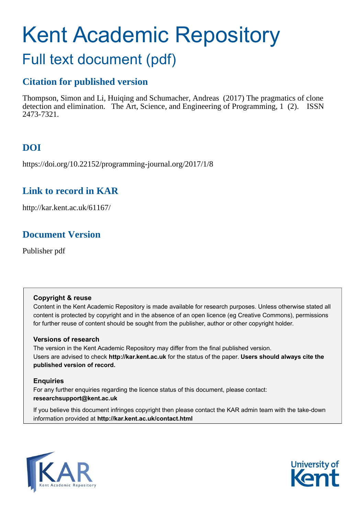# Kent Academic Repository Full text document (pdf)

# **Citation for published version**

Thompson, Simon and Li, Huiqing and Schumacher, Andreas (2017) The pragmatics of clone detection and elimination. The Art, Science, and Engineering of Programming, 1 (2). ISSN 2473-7321.

# **DOI**

https://doi.org/10.22152/programming-journal.org/2017/1/8

# **Link to record in KAR**

http://kar.kent.ac.uk/61167/

# **Document Version**

Publisher pdf

# **Copyright & reuse**

Content in the Kent Academic Repository is made available for research purposes. Unless otherwise stated all content is protected by copyright and in the absence of an open licence (eg Creative Commons), permissions for further reuse of content should be sought from the publisher, author or other copyright holder.

# **Versions of research**

The version in the Kent Academic Repository may differ from the final published version. Users are advised to check **http://kar.kent.ac.uk** for the status of the paper. **Users should always cite the published version of record.**

# **Enquiries**

For any further enquiries regarding the licence status of this document, please contact: **researchsupport@kent.ac.uk**

If you believe this document infringes copyright then please contact the KAR admin team with the take-down information provided at **http://kar.kent.ac.uk/contact.html**



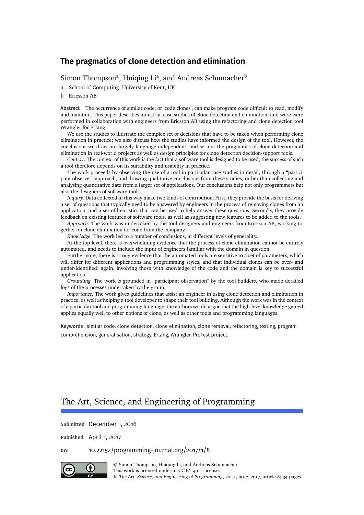[Simon Thompson](#page-33-0)<sup>a</sup>, [Huiqing Li](#page-33-1)<sup>a</sup>, and [Andreas Schumacher](#page-33-2)<sup>b</sup>

a School of Computing, University of Kent, UK

b Ericsson AB

**Abstract** The occurrence of similar code, or 'code clones', can make program code difficult to read, modify and maintain. This paper describes industrial case studies of clone detection and elimination, and were were performed in collaboration with engineers from Ericsson AB using the refactoring and clone detection tool Wrangler for Erlang.

We use the studies to illustrate the complex set of decisions that have to be taken when performing clone elimination in practice; we also discuss how the studies have informed the design of the tool. However, the conclusions we draw are largely language-independent, and set out the pragmatics of clone detection and elimination in real-world projects as well as design principles for clone detection decision-support tools.

*Context.* The context of this work is the fact that a software tool is designed to be used; the success of such a tool therefore depends on its suitability and usability in practice.

The work proceeds by observing the use of a tool in particular case studies in detail, through a "participant observer" approach, and drawing qualitative conclusions from these studies, rather than collecting and analysing quantitative data from a larger set of applications. Our conclusions help not only programmers but also the designers of software tools.

*Inquiry.* Data collected in this way make two kinds of contribution. First, they provide the basis for deriving a set of questions that typically need to be answered by engineers in the process of removing clones from an application, and a set of heuristics that can be used to help answer these questions. Secondly, they provide feedback on existing features of software tools, as well as suggesting new features to be added to the tools.

*Approach.* The work was undertaken by the tool designers and engineers from Ericsson AB, working together on clone elimination for code from the company.

*Knowledge.* The work led to a number of conclusions, at different levels of generality.

At the top level, there is overwhelming evidence that the process of clone elimination cannot be entirely automated, and needs to include the input of engineers familiar with the domain in question.

Furthermore, there is strong evidence that the automated tools are sensitive to a set of parameters, which will differ for different applications and programming styles, and that individual clones can be over- and under-identified: again, involving those with knowledge of the code and the domain is key to successful application.

*Grounding.* The work is grounded in "participant observation" by the tool builders, who made detailed logs of the processes undertaken by the group.

*Importance*. The work gives guidelines that assist an engineer in using clone detection and elimination in practice, as well as helping a tool developer to shape their tool building. Although the work was in the context of a particular tool and programming language, the authors would argue that the high-level knowledge gained applies equally well to other notions of clone, as well as other tools and programming languages.

**Keywords** similar code, clone detection, clone elimination, clone removal, refactoring, testing, program comprehension, generalisation, strategy, Erlang, Wrangler, ProTest project.

# The Art, Science, and Engineering of Programming

**Submitted** December 1, 2016

**Published** April 1, 2017

<span id="page-1-0"></span>**doi** [10.22152/programming-journal.org/2017/1/8](https://doi.org/10.22152/programming-journal.org/2017/1/8)



© [Simon Thompson,](#page-33-0) [Huiqing Li,](#page-33-1) and [Andreas Schumacher](#page-33-2) This work is licensed under a ["CC BY 4.0"](https://creativecommons.org/licenses/by/4.0/deed.en) license. In *The Art, Science, and Engineering of Programming*, vol. 1, no. 2, 2017, article 8; [34](#page-33-3) pages.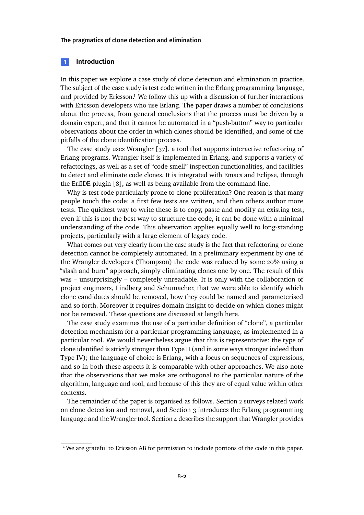#### **1 Introduction**

In this paper we explore a case study of clone detection and elimination in practice. The subject of the case study is test code written in the Erlang programming language, and provided by Ericsson.<sup>1</sup> We follow this up with a discussion of further interactions with Ericsson developers who use Erlang. The paper draws a number of conclusions about the process, from general conclusions that the process must be driven by a domain expert, and that it cannot be automated in a "push-button" way to particular observations about the order in which clones should be identified, and some of the pitfalls of the clone identification process.

<span id="page-2-0"></span>The case study uses Wrangler [\[37\]](#page-32-0), a tool that supports interactive refactoring of Erlang programs. Wrangler itself is implemented in Erlang, and supports a variety of refactorings, as well as a set of "code smell" inspection functionalities, and facilities to detect and eliminate code clones. It is integrated with Emacs and Eclipse, through the ErlIDE plugin [\[8\]](#page-30-0), as well as being available from the command line.

Why is test code particularly prone to clone proliferation? One reason is that many people touch the code: a first few tests are written, and then others author more tests. The quickest way to write these is to copy, paste and modify an existing test, even if this is not the best way to structure the code, it can be done with a minimal understanding of the code. This observation applies equally well to long-standing projects, particularly with a large element of legacy code.

What comes out very clearly from the case study is the fact that refactoring or clone detection cannot be completely automated. In a preliminary experiment by one of the Wrangler developers (Thompson) the code was reduced by some 20% using a "slash and burn" approach, simply eliminating clones one by one. The result of this was – unsurprisingly – completely unreadable. It is only with the collaboration of project engineers, Lindberg and Schumacher, that we were able to identify which clone candidates should be removed, how they could be named and parameterised and so forth. Moreover it requires domain insight to decide on which clones might not be removed. These questions are discussed at length here.

The case study examines the use of a particular definition of "clone", a particular detection mechanism for a particular programming language, as implemented in a particular tool. We would nevertheless argue that this is representative: the type of clone identified is strictly stronger than Type II (and in some ways stronger indeed than Type IV); the language of choice is Erlang, with a focus on sequences of expressions, and so in both these aspects it is comparable with other approaches. We also note that the observations that we make are orthogonal to the particular nature of the algorithm, language and tool, and because of this they are of equal value within other contexts.

The remainder of the paper is organised as follows. Section [2](#page-2-0) surveys related work on clone detection and removal, and Section [3](#page-3-0) introduces the Erlang programming language and the Wrangler tool. Section [4](#page-5-0) describes the support that Wrangler provides

<sup>&</sup>lt;sup>1</sup> We are grateful to Ericsson AB for permission to include portions of the code in this paper.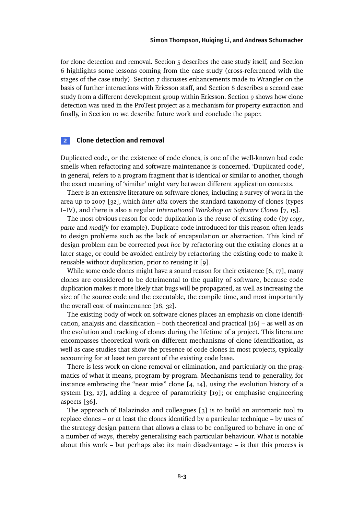for clone detection and removal. Section [5](#page-9-0) describes the case study itself, and Section [6](#page-19-0) highlights some lessons coming from the case study (cross-referenced with the stages of the case study). Section [7](#page-21-0) discusses enhancements made to Wrangler on the basis of further interactions with Ericsson staff, and Section [8](#page-23-0) describes a second case study from a different development group within Ericsson. Section [9](#page-27-0) shows how clone detection was used in the ProTest project as a mechanism for property extraction and finally, in Section [10](#page-29-0) we describe future work and conclude the paper.

#### **2 Clone detection and removal**

Duplicated code, or the existence of code clones, is one of the well-known bad code smells when refactoring and software maintenance is concerned. 'Duplicated code', in general, refers to a program fragment that is identical or similar to another, though the exact meaning of 'similar' might vary between different application contexts.

There is an extensive literature on software clones, including a survey of work in the area up to 2007 [\[32\]](#page-31-0), which *inter alia* covers the standard taxonomy of clones (types I–IV), and there is also a regular *International Workshop on Software Clones* [\[7,](#page-30-1) [15\]](#page-30-2).

The most obvious reason for code duplication is the reuse of existing code (by *copy*, *paste* and *modify* for example). Duplicate code introduced for this reason often leads to design problems such as the lack of encapsulation or abstraction. This kind of design problem can be corrected *post hoc* by refactoring out the existing clones at a later stage, or could be avoided entirely by refactoring the existing code to make it reusable without duplication, prior to reusing it [\[9\]](#page-30-3).

While some code clones might have a sound reason for their existence [\[6,](#page-30-4) [17\]](#page-30-5), many clones are considered to be detrimental to the quality of software, because code duplication makes it more likely that bugs will be propagated, as well as increasing the size of the source code and the executable, the compile time, and most importantly the overall cost of maintenance [\[28,](#page-31-1) [32\]](#page-31-0).

The existing body of work on software clones places an emphasis on clone identification, analysis and classification – both theoretical and practical  $[16]$  – as well as on the evolution and tracking of clones during the lifetime of a project. This literature encompasses theoretical work on different mechanisms of clone identification, as well as case studies that show the presence of code clones in most projects, typically accounting for at least ten percent of the existing code base.

There is less work on clone removal or elimination, and particularly on the pragmatics of what it means, program-by-program. Mechanisms tend to generality, for instance embracing the "near miss" clone [\[4,](#page-30-7) [14\]](#page-30-8), using the evolution history of a system [\[13,](#page-30-9) [27\]](#page-31-2), adding a degree of paramtricity [\[19\]](#page-31-3); or emphasise engineering aspects [\[36\]](#page-32-1).

<span id="page-3-0"></span>The approach of Balazinska and colleagues [\[3\]](#page-30-10) is to build an automatic tool to replace clones – or at least the clones identified by a particular technique – by uses of the strategy design pattern that allows a class to be configured to behave in one of a number of ways, thereby generalising each particular behaviour. What is notable about this work – but perhaps also its main disadvantage – is that this process is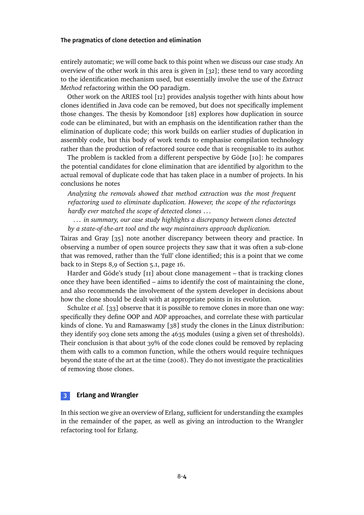entirely automatic; we will come back to this point when we discuss our case study. An overview of the other work in this area is given in  $\left[32\right]$ ; these tend to vary according to the identification mechanism used, but essentially involve the use of the *Extract Method* refactoring within the OO paradigm.

Other work on the ARIES tool [\[12\]](#page-30-11) provides analysis together with hints about how clones identified in Java code can be removed, but does not specifically implement those changes. The thesis by Komondoor [\[18\]](#page-30-12) explores how duplication in source code can be eliminated, but with an emphasis on the identification rather than the elimination of duplicate code; this work builds on earlier studies of duplication in assembly code, but this body of work tends to emphasise compilation technology rather than the production of refactored source code that is recognisable to its author.

The problem is tackled from a different perspective by Göde [\[10\]](#page-30-13): he compares the potential candidates for clone elimination that are identified by algorithm to the actual removal of duplicate code that has taken place in a number of projects. In his conclusions he notes

*Analyzing the removals showed that method extraction was the most frequent refactoring used to eliminate duplication. However, the scope of the refactorings hardly ever matched the scope of detected clones* . . .

. .. *in summary, our case study highlights a discrepancy between clones detected by a state-of-the-art tool and the way maintainers approach duplication.*

Tairas and Gray [\[35\]](#page-32-2) note another discrepancy between theory and practice. In observing a number of open source projects they saw that it was often a sub-clone that was removed, rather than the 'full' clone identified; this is a point that we come back to in Steps 8,9 of Section [5.1,](#page-10-0) page [16.](#page-15-0)

Harder and Göde's study [\[11\]](#page-30-14) about clone management – that is tracking clones once they have been identified – aims to identify the cost of maintaining the clone, and also recommends the involvement of the system developer in decisions about how the clone should be dealt with at appropriate points in its evolution.

Schulze *et al.* [\[33\]](#page-32-3) observe that it is possible to remove clones in more than one way: specifically they define OOP and AOP approaches, and correlate these with particular kinds of clone. Yu and Ramaswamy [\[38\]](#page-32-4) study the clones in the Linux distribution: they identify 903 clone sets among the 4635 modules (using a given set of thresholds). Their conclusion is that about 39% of the code clones could be removed by replacing them with calls to a common function, while the others would require techniques beyond the state of the art at the time (2008). They do not investigate the practicalities of removing those clones.

## **3 Erlang and Wrangler**

In this section we give an overview of Erlang, sufficient for understanding the examples in the remainder of the paper, as well as giving an introduction to the Wrangler refactoring tool for Erlang.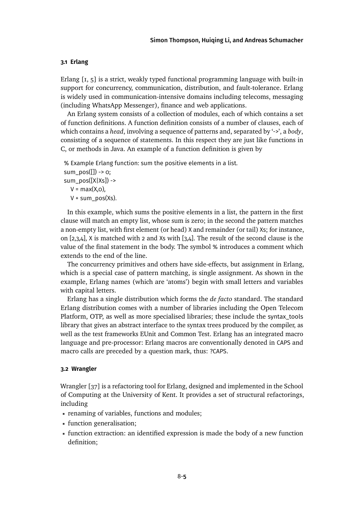#### **3.1 Erlang**

Erlang [\[1,](#page-29-1) [5\]](#page-30-15) is a strict, weakly typed functional programming language with built-in support for concurrency, communication, distribution, and fault-tolerance. Erlang is widely used in communication-intensive domains including telecoms, messaging (including WhatsApp Messenger), finance and web applications.

An Erlang system consists of a collection of modules, each of which contains a set of function definitions. A function definition consists of a number of clauses, each of which contains a *head*, involving a sequence of patterns and, separated by '->', a *body*, consisting of a sequence of statements. In this respect they are just like functions in C, or methods in Java. An example of a function definition is given by

% Example Erlang function: sum the positive elements in a list. sum\_pos( $[]$ ) ->  $o;$  $sum\_pos([X|Xs])$  ->  $V = max(X, o)$ ,  $V + sum_pos(Xs)$ .

In this example, which sums the positive elements in a list, the pattern in the first clause will match an empty list, whose sum is zero; in the second the pattern matches a non-empty list, with first element (or head) X and remainder (or tail) Xs; for instance, on [2,3,4], X is matched with 2 and Xs with [3,4]. The result of the second clause is the value of the final statement in the body. The symbol % introduces a comment which extends to the end of the line.

The concurrency primitives and others have side-effects, but assignment in Erlang, which is a special case of pattern matching, is single assignment. As shown in the example, Erlang names (which are 'atoms') begin with small letters and variables with capital letters.

<span id="page-5-0"></span>Erlang has a single distribution which forms the *de facto* standard. The standard Erlang distribution comes with a number of libraries including the Open Telecom Platform, OTP, as well as more specialised libraries; these include the syntax\_tools library that gives an abstract interface to the syntax trees produced by the compiler, as well as the test frameworks EUnit and Common Test. Erlang has an integrated macro language and pre-processor: Erlang macros are conventionally denoted in CAPS and macro calls are preceded by a question mark, thus: ?CAPS.

#### **3.2 Wrangler**

<span id="page-5-1"></span>Wrangler [\[37\]](#page-32-0) is a refactoring tool for Erlang, designed and implemented in the School of Computing at the University of Kent. It provides a set of structural refactorings, including

- renaming of variables, functions and modules;
- function generalisation;
- function extraction: an identified expression is made the body of a new function definition;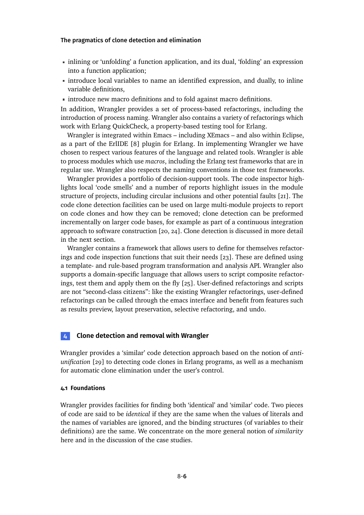- inlining or 'unfolding' a function application, and its dual, 'folding' an expression into a function application;
- introduce local variables to name an identified expression, and dually, to inline variable definitions,
- introduce new macro definitions and to fold against macro definitions.

In addition, Wrangler provides a set of process-based refactorings, including the introduction of process naming. Wrangler also contains a variety of refactorings which work with Erlang QuickCheck, a property-based testing tool for Erlang.

Wrangler is integrated within Emacs – including XEmacs – and also within Eclipse, as a part of the ErlIDE [\[8\]](#page-30-0) plugin for Erlang. In implementing Wrangler we have chosen to respect various features of the language and related tools. Wrangler is able to process modules which use *macros*, including the Erlang test frameworks that are in regular use. Wrangler also respects the naming conventions in those test frameworks.

Wrangler provides a portfolio of decision-support tools. The code inspector highlights local 'code smells' and a number of reports highlight issues in the module structure of projects, including circular inclusions and other potential faults [\[21\]](#page-31-4). The code clone detection facilities can be used on large multi-module projects to report on code clones and how they can be removed; clone detection can be preformed incrementally on larger code bases, for example as part of a continuous integration approach to software construction [\[20,](#page-31-5) [24\]](#page-31-6). Clone detection is discussed in more detail in the next section.

Wrangler contains a framework that allows users to define for themselves refactorings and code inspection functions that suit their needs [\[23\]](#page-31-7). These are defined using a template- and rule-based program transformation and analysis API. Wrangler also supports a domain-specific language that allows users to script composite refactorings, test them and apply them on the fly [\[25\]](#page-31-8). User-defined refactorings and scripts are not "second-class citizens": like the existing Wrangler refactorings, user-defined refactorings can be called through the emacs interface and benefit from features such as results preview, layout preservation, selective refactoring, and undo.

#### **4 Clone detection and removal with Wrangler**

Wrangler provides a 'similar' code detection approach based on the notion of *antiunification* [\[29\]](#page-31-9) to detecting code clones in Erlang programs, as well as a mechanism for automatic clone elimination under the user's control.

#### **4.1 Foundations**

<span id="page-6-0"></span>Wrangler provides facilities for finding both 'identical' and 'similar' code. Two pieces of code are said to be *identical* if they are the same when the values of literals and the names of variables are ignored, and the binding structures (of variables to their definitions) are the same. We concentrate on the more general notion of *similarity* here and in the discussion of the case studies.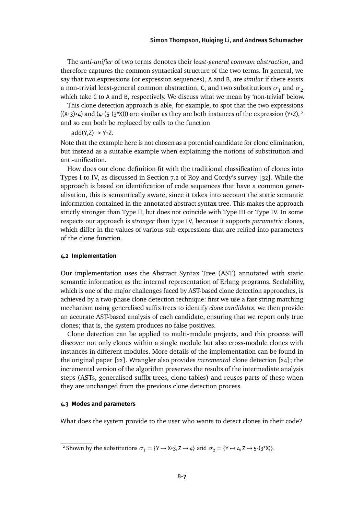The *anti-unifier* of two terms denotes their *least-general common abstraction*, and therefore captures the common syntactical structure of the two terms. In general, we say that two expressions (or expression sequences), A and B, are *similar* if there exists a non-trivial least-general common abstraction, C, and two substitutions  $\sigma_1$  and  $\sigma_2$ which take C to A and B, respectively. We discuss what we mean by 'non-trivial' below.

This clone detection approach is able, for example, to spot that the two expressions  $((x+3)+4)$  and  $(4+(5-(3^*x)))$  are similar as they are both instances of the expression  $(Y+Z),^2$ and so can both be replaced by calls to the function

 $add(Y,7) \rightarrow Y + 7$ .

Note that the example here is not chosen as a potential candidate for clone elimination, but instead as a suitable example when explaining the notions of substitution and anti-unification.

How does our clone definition fit with the traditional classification of clones into Types I to IV, as discussed in Section 7.2 of Roy and Cordy's survey [\[32\]](#page-31-0). While the approach is based on identification of code sequences that have a common generalisation, this is semantically aware, since it takes into account the static semantic information contained in the annotated abstract syntax tree. This makes the approach strictly stronger than Type II, but does not coincide with Type III or Type IV. In some respects our approach is *stronger* than type IV, because it supports *parametric* clones, which differ in the values of various sub-expressions that are reified into parameters of the clone function.

#### **4.2 Implementation**

Our implementation uses the Abstract Syntax Tree (AST) annotated with static semantic information as the internal representation of Erlang programs. Scalability, which is one of the major challenges faced by AST-based clone detection approaches, is achieved by a two-phase clone detection technique: first we use a fast string matching mechanism using generalised suffix trees to identify *clone candidates*, we then provide an accurate AST-based analysis of each candidate, ensuring that we report only true clones; that is, the system produces no false positives.

Clone detection can be applied to multi-module projects, and this process will discover not only clones within a single module but also cross-module clones with instances in different modules. More details of the implementation can be found in the original paper [\[22\]](#page-31-10). Wrangler also provides *incremental* clone detection [\[24\]](#page-31-6); the incremental version of the algorithm preserves the results of the intermediate analysis steps (ASTs, generalised suffix trees, clone tables) and reuses parts of these when they are unchanged from the previous clone detection process.

#### **4.3 Modes and parameters**

What does the system provide to the user who wants to detect clones in their code?

<sup>&</sup>lt;sup>2</sup> Shown by the substitutions  $\sigma_1 = \{Y \mapsto X+3, Z \mapsto 4\}$  and  $\sigma_2 = \{Y \mapsto 4, Z \mapsto 5-(3^*X)\}.$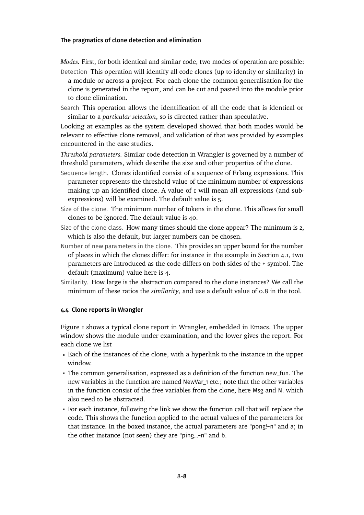- <span id="page-8-0"></span>*Modes.* First, for both identical and similar code, two modes of operation are possible:
- Detection This operation will identify all code clones (up to identity or similarity) in a module or across a project. For each clone the common generalisation for the clone is generated in the report, and can be cut and pasted into the module prior to clone elimination.
- Search This operation allows the identification of all the code that is identical or similar to a *particular selection*, so is directed rather than speculative.

Looking at examples as the system developed showed that both modes would be relevant to effective clone removal, and validation of that was provided by examples encountered in the case studies.

*Threshold parameters.* Similar code detection in Wrangler is governed by a number of threshold parameters, which describe the size and other properties of the clone.

- Sequence length. Clones identified consist of a sequence of Erlang expressions. This parameter represents the threshold value of the minimum number of expressions making up an identified clone. A value of 1 will mean all expressions (and subexpressions) will be examined. The default value is 5.
- Size of the clone. The minimum number of tokens in the clone. This allows for small clones to be ignored. The default value is 40.
- Size of the clone class. How many times should the clone appear? The minimum is 2, which is also the default, but larger numbers can be chosen.
- Number of new parameters in the clone. This provides an upper bound for the number of places in which the clones differ: for instance in the example in Section [4.1,](#page-5-1) two parameters are introduced as the code differs on both sides of the + symbol. The default (maximum) value here is 4.
- Similarity. How large is the abstraction compared to the clone instances? We call the minimum of these ratios the *similarity*, and use a default value of 0.8 in the tool.

#### **4.4 Clone reports in Wrangler**

Figure [1](#page-8-0) shows a typical clone report in Wrangler, embedded in Emacs. The upper window shows the module under examination, and the lower gives the report. For each clone we list

- Each of the instances of the clone, with a hyperlink to the instance in the upper window.
- The common generalisation, expressed as a definition of the function new fun. The new variables in the function are named NewVar\_1 etc.; note that the other variables in the function consist of the free variables from the clone, here Msg and N. which also need to be abstracted.
- For each instance, following the link we show the function call that will replace the code. This shows the function applied to the actual values of the parameters for that instance. In the boxed instance, the actual parameters are "pong!~n" and a; in the other instance (not seen) they are "ping...~n" and b.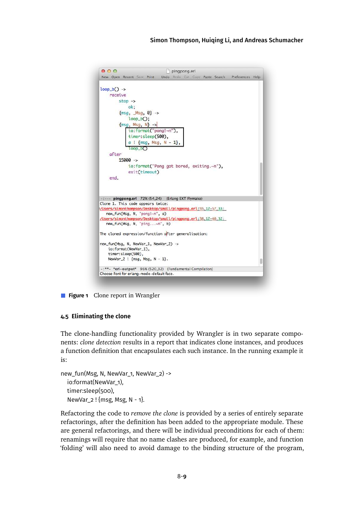

<span id="page-9-0"></span>**Figure 1** Clone report in Wrangler

#### **4.5 Eliminating the clone**

The clone-handling functionality provided by Wrangler is in two separate components: *clone detection* results in a report that indicates clone instances, and produces a function definition that encapsulates each such instance. In the running example it is:

```
new_fun(Msg, N, NewVar_1, NewVar_2) ->
  io:format(NewVar_1),
  timer:sleep(500),
  NewVar 2! {msg, Msg, N - 1}.
```
<span id="page-9-1"></span>Refactoring the code to *remove the clone* is provided by a series of entirely separate refactorings, after the definition has been added to the appropriate module. These are general refactorings, and there will be individual preconditions for each of them: renamings will require that no name clashes are produced, for example, and function 'folding' will also need to avoid damage to the binding structure of the program,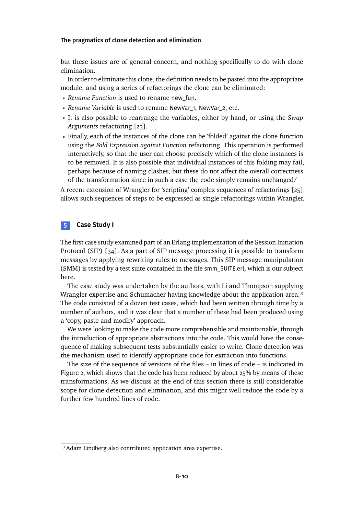<span id="page-10-1"></span>but these issues are of general concern, and nothing specifically to do with clone elimination.

In order to eliminate this clone, the definition needs to be pasted into the appropriate module, and using a series of refactorings the clone can be eliminated:

- *Rename Function* is used to rename new\_fun.
- **Rename Variable** is used to rename NewVar 1, NewVar 2, etc.
- It is also possible to rearrange the variables, either by hand, or using the *Swap Arguments* refactoring [\[23\]](#page-31-7).
- <span id="page-10-2"></span>Finally, each of the instances of the clone can be 'folded' against the clone function using the *Fold Expression against Function* refactoring. This operation is performed interactively, so that the user can choose precisely which of the clone instances is to be removed. It is also possible that individual instances of this folding may fail, perhaps because of naming clashes, but these do not affect the overall correctness of the transformation since in such a case the code simply remains unchanged/

A recent extension of Wrangler for 'scripting' complex sequences of refactorings [\[25\]](#page-31-8) allows such sequences of steps to be expressed as single refactorings within Wrangler.

## **5 Case Study I**

The first case study examined part of an Erlang implementation of the Session Initiation Protocol (SIP) [\[34\]](#page-32-5). As a part of SIP message processing it is possible to transform messages by applying rewriting rules to messages. This SIP message manipulation (SMM) is tested by a test suite contained in the file smm\_SUITE.erl, which is our subject here.

The case study was undertaken by the authors, with Li and Thompson supplying Wrangler expertise and Schumacher having knowledge about the application area.<sup>3</sup> The code consisted of a dozen test cases, which had been written through time by a number of authors, and it was clear that a number of these had been produced using a 'copy, paste and modify' approach.

We were looking to make the code more comprehensible and maintainable, through the introduction of appropriate abstractions into the code. This would have the consequence of making subsequent tests substantially easier to write. Clone detection was the mechanism used to identify appropriate code for extraction into functions.

<span id="page-10-0"></span>The size of the sequence of versions of the files – in lines of code – is indicated in Figure [2,](#page-10-1) which shows that the code has been reduced by about 25% by means of these transformations. As we discuss at the end of this section there is still considerable scope for clone detection and elimination, and this might well reduce the code by a further few hundred lines of code.

<sup>&</sup>lt;sup>3</sup> Adam Lindberg also contributed application area expertise.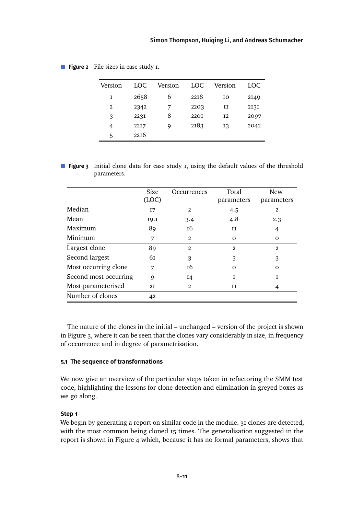| Version        | LOC. | Version | LOC         | Version        | LOC. |
|----------------|------|---------|-------------|----------------|------|
| Ι              | 2658 | 6       | 2218        | I0             | 2149 |
| $\overline{2}$ | 2342 |         | 2203        | и              | 2131 |
| 3              | 223I | 8       | <b>220I</b> | I <sub>2</sub> | 2097 |
| 4              | 22I7 | 9       | 2183        | 13             | 2042 |
| 5              | 2216 |         |             |                |      |

<span id="page-11-0"></span>**Figure 2** File sizes in case study 1.

**Figure 3** Initial clone data for case study 1, using the default values of the threshold parameters.

|                       | Size<br>(LOC) | Occurrences    | Total<br>parameters | <b>New</b><br>parameters |
|-----------------------|---------------|----------------|---------------------|--------------------------|
| Median                | 17            | $\overline{2}$ | 4.5                 | 2                        |
| Mean                  | 19.I          | 3.4            | 4.8                 | 2.3                      |
| Maximum               | 89            | 16             | H                   | 4                        |
| Minimum               | 7             | $\overline{2}$ | $\Omega$            | $\Omega$                 |
| Largest clone         | 89            | $\mathfrak{p}$ | $\overline{2}$      | $\overline{2}$           |
| Second largest        | 61            | 3              | 3                   | 3                        |
| Most occurring clone  | 7             | 16             | $\Omega$            | $\Omega$                 |
| Second most occurring | 9             | 14             | Ι                   | 1                        |
| Most parameterised    | 2I            | $\overline{2}$ | и                   | 4                        |
| Number of clones      | 42            |                |                     |                          |

The nature of the clones in the initial – unchanged – version of the project is shown in Figure [3,](#page-10-2) where it can be seen that the clones vary considerably in size, in frequency of occurrence and in degree of parametrisation.

#### **5.1 The sequence of transformations**

We now give an overview of the particular steps taken in refactoring the SMM test code, highlighting the lessons for clone detection and elimination in greyed boxes as we go along.

#### **Step 1**

We begin by generating a report on similar code in the module. 31 clones are detected, with the most common being cloned 15 times. The generalisation suggested in the report is shown in Figure [4](#page-11-0) which, because it has no formal parameters, shows that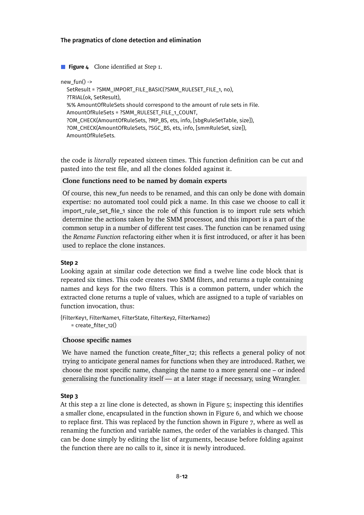<span id="page-12-0"></span>**Figure 4** Clone identified at Step 1.

```
new fun() \rightarrowSetResult = ?SMM_IMPORT_FILE_BASIC(?SMM_RULESET_FILE_1, no),
  ?TRIAL(ok, SetResult),
  %% AmountOfRuleSets should correspond to the amount of rule sets in File.
  AmountOfRuleSets = ?SMM_RULESET_FILE_1_COUNT,
  ?OM_CHECK(AmountOfRuleSets, ?MP_BS, ets, info, [sbgRuleSetTable, size]),
  ?OM_CHECK(AmountOfRuleSets, ?SGC_BS, ets, info, [smmRuleSet, size]),
  AmountOfRuleSets.
```
the code is *literally* repeated sixteen times. This function definition can be cut and pasted into the test file, and all the clones folded against it.

#### **Clone functions need to be named by domain experts**

Of course, this new\_fun needs to be renamed, and this can only be done with domain expertise: no automated tool could pick a name. In this case we choose to call it import\_rule\_set\_file\_1 since the role of this function is to import rule sets which determine the actions taken by the SMM processor, and this import is a part of the common setup in a number of different test cases. The function can be renamed using the *Rename Function* refactoring either when it is first introduced, or after it has been used to replace the clone instances.

#### <span id="page-12-1"></span>**Step 2**

Looking again at similar code detection we find a twelve line code block that is repeated six times. This code creates two SMM filters, and returns a tuple containing names and keys for the two filters. This is a common pattern, under which the extracted clone returns a tuple of values, which are assigned to a tuple of variables on function invocation, thus:

{FilterKey1, FilterName1, FilterState, FilterKey2, FilterName2}  $=$  create filter 12()

#### **Choose specific names**

We have named the function create filter 12; this reflects a general policy of not trying to anticipate general names for functions when they are introduced. Rather, we choose the most specific name, changing the name to a more general one – or indeed generalising the functionality itself — at a later stage if necessary, using Wrangler.

#### **Step 3**

At this step a 21 line clone is detected, as shown in Figure [5;](#page-12-0) inspecting this identifies a smaller clone, encapsulated in the function shown in Figure [6,](#page-12-1) and which we choose to replace first. This was replaced by the function shown in Figure [7,](#page-13-0) where as well as renaming the function and variable names, the order of the variables is changed. This can be done simply by editing the list of arguments, because before folding against the function there are no calls to it, since it is newly introduced.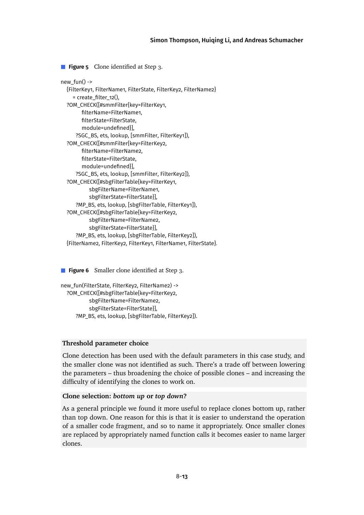#### [Simon Thompson,](#page-33-0) [Huiqing Li,](#page-33-1) and [Andreas Schumacher](#page-33-2)

<span id="page-13-0"></span>**Figure 5** Clone identified at Step 3.

```
new fun() \rightarrow{FilterKey1, FilterName1, FilterState, FilterKey2, FilterName2}
    = create_filter_12(),
  ?OM_CHECK([#smmFilter{key=FilterKey1,
        filterName=FilterName1.
        filterState=FilterState,
        module=undefined}],
      ?SGC_BS, ets, lookup, [smmFilter, FilterKey1]),
  ?OM_CHECK([#smmFilter{key=FilterKey2,
        filterName=FilterName2,
        filterState=FilterState.
        module=undefined}],
      ?SGC_BS, ets, lookup, [smmFilter, FilterKey2]),
  ?OM_CHECK([#sbgFilterTable{key=FilterKey1,
           sbgFilterName=FilterName1,
           sbgFilterState=FilterState}],
      ?MP_BS, ets, lookup, [sbgFilterTable, FilterKey1]),
  ?OM_CHECK([#sbgFilterTable{key=FilterKey2,
           sbgFilterName=FilterName2,
           sbgFilterState=FilterState}],
      ?MP_BS, ets, lookup, [sbgFilterTable, FilterKey2]),
  {FilterName2, FilterKey2, FilterKey1, FilterName1, FilterState}.
```
**Figure 6** Smaller clone identified at Step 3.

```
new_fun(FilterState, FilterKey2, FilterName2) ->
  ?OM_CHECK([#sbgFilterTable{key=FilterKey2,
           sbgFilterName=FilterName2,
           sbgFilterState=FilterState}],
     ?MP_BS, ets, lookup, [sbgFilterTable, FilterKey2]).
```
#### **Threshold parameter choice**

Clone detection has been used with the default parameters in this case study, and the smaller clone was not identified as such. There's a trade off between lowering the parameters – thus broadening the choice of possible clones – and increasing the difficulty of identifying the clones to work on.

#### **Clone selection:** *bottom up* **or** *top down***?**

As a general principle we found it more useful to replace clones bottom up, rather than top down. One reason for this is that it is easier to understand the operation of a smaller code fragment, and so to name it appropriately. Once smaller clones are replaced by appropriately named function calls it becomes easier to name larger clones.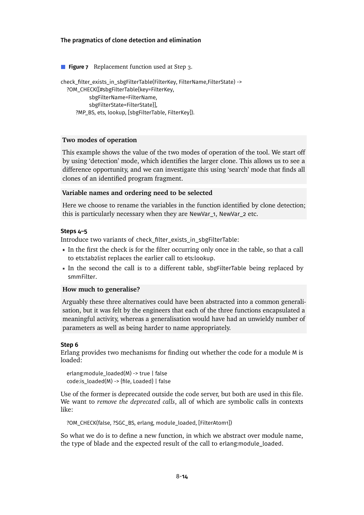<span id="page-14-0"></span>**Figure 7** Replacement function used at Step 3. check\_filter\_exists\_in\_sbgFilterTable(FilterKey, FilterName,FilterState) -> ?OM\_CHECK([#sbgFilterTable{key=FilterKey, sbgFilterName=FilterName, sbgFilterState=FilterState}], ?MP\_BS, ets, lookup, [sbgFilterTable, FilterKey]).

#### <span id="page-14-1"></span>**Two modes of operation**

This example shows the value of the two modes of operation of the tool. We start off by using 'detection' mode, which identifies the larger clone. This allows us to see a difference opportunity, and we can investigate this using 'search' mode that finds all clones of an identified program fragment.

#### **Variable names and ordering need to be selected**

Here we choose to rename the variables in the function identified by clone detection; this is particularly necessary when they are NewVar\_1, NewVar\_2 etc.

#### **Steps 4–5**

Introduce two variants of check\_filter\_exists\_in\_sbgFilterTable:

- In the first the check is for the filter occurring only once in the table, so that a call to ets:tab2list replaces the earlier call to ets:lookup.
- In the second the call is to a different table, sbgFilterTable being replaced by smmFilter.

#### **How much to generalise?**

Arguably these three alternatives could have been abstracted into a common generalisation, but it was felt by the engineers that each of the three functions encapsulated a meaningful activity, whereas a generalisation would have had an unwieldy number of parameters as well as being harder to name appropriately.

#### **Step 6**

Erlang provides two mechanisms for finding out whether the code for a module M is loaded:

erlang:module\_loaded(M) -> true | false  $code:is\_loaded(M) \rightarrow \{file, Loaded\}$  | false

Use of the former is deprecated outside the code server, but both are used in this file. We want to *remove the deprecated calls*, all of which are symbolic calls in contexts like:

?OM\_CHECK(false, ?SGC\_BS, erlang, module\_loaded, [FilterAtom1])

So what we do is to define a new function, in which we abstract over module name, the type of blade and the expected result of the call to erlang:module\_loaded.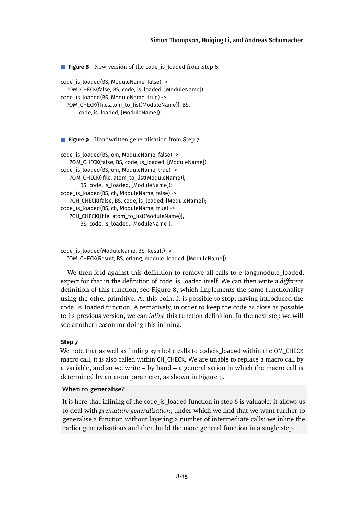#### [Simon Thompson,](#page-33-0) [Huiqing Li,](#page-33-1) and [Andreas Schumacher](#page-33-2)

<span id="page-15-1"></span>**Figure 8** New version of the code\_is\_loaded from Step 6. code\_is\_loaded(BS, ModuleName, false) ->

```
?OM_CHECK(false, BS, code, is_loaded, [ModuleName]).
code_is_loaded(BS, ModuleName, true) ->
  ?OM_CHECK({file,atom_to_list(ModuleName)}, BS,
      code, is_loaded, [ModuleName]).
```
<span id="page-15-2"></span>**Figure 9** Handwritten generalisation from Step 7.

```
code_is_loaded(BS, om, ModuleName, false) ->
   ?OM_CHECK(false, BS, code, is_loaded, [ModuleName]);
code_is_loaded(BS, om, ModuleName, true) ->
   ?OM_CHECK({file, atom_to_list(ModuleName)},
       BS, code, is_loaded, [ModuleName]);
code_is_loaded(BS, ch, ModuleName, false) ->
   ?CH_CHECK(false, BS, code, is_loaded, [ModuleName]);
code_is_loaded(BS, ch, ModuleName, true) ->
   ?CH_CHECK({file, atom_to_list(ModuleName)},
       BS, code, is_loaded, [ModuleName]).
```
<span id="page-15-0"></span>code\_is\_loaded(ModuleName, BS, Result) -> ?OM\_CHECK(Result, BS, erlang, module\_loaded, [ModuleName]).

We then fold against this definition to remove all calls to erlang: module loaded, expect for that in the definition of code\_is\_loaded itself. We can then write a *different* definition of this function, see Figure [8,](#page-14-0) which implements the same functionality using the other primitive. At this point it is possible to stop, having introduced the code\_is\_loaded function. Alternatively, in order to keep the code as close as possible to its previous version, we can *inline* this function definition. In the next step we will see another reason for doing this inlining.

#### **Step 7**

We note that as well as finding symbolic calls to code:is\_loaded within the OM\_CHECK macro call, it is also called within CH\_CHECK. We are unable to replace a macro call by a variable, and so we write – by hand – a generalisation in which the macro call is determined by an atom parameter, as shown in Figure [9.](#page-14-1)

#### **When to generalise?**

It is here that inlining of the code\_is\_loaded function in step 6 is valuable: it allows us to deal with *premature generalisation*, under which we find that we want further to generalise a function without layering a number of intermediate calls: we inline the earlier generalisations and then build the more general function in a single step.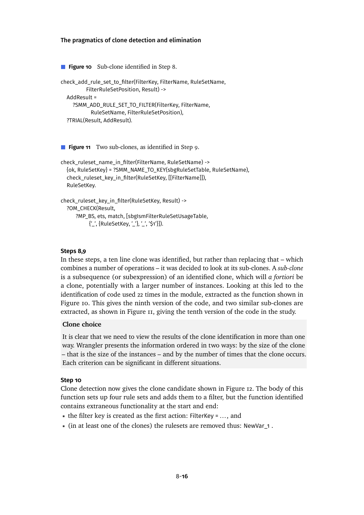<span id="page-16-0"></span>**Figure 10** Sub-clone identified in Step 8. check\_add\_rule\_set\_to\_lter(FilterKey, FilterName, RuleSetName, FilterRuleSetPosition, Result) -> AddResult = ?SMM\_ADD\_RULE\_SET\_TO\_FILTER(FilterKey, FilterName, RuleSetName, FilterRuleSetPosition), ?TRIAL(Result, AddResult).

**Figure 11** Two sub-clones, as identified in Step 9.

```
check_ruleset_name_in_filter(FilterName, RuleSetName) ->
  {ok, RuleSetKey} = ?SMM_NAME_TO_KEY(sbgRuleSetTable, RuleSetName),
  check_ruleset_key_in_filter(RuleSetKey, [[FilterName]]),
  RuleSetKey.
```

```
check_ruleset_key_in_filter(RuleSetKey, Result) ->
  ?OM_CHECK(Result,
      ?MP_BS, ets, match, [sbgIsmFilterRuleSetUsageTable,
           {'_', {RuleSetKey, '_'}, '_', '$1'}]).
```
#### **Steps 8,9**

In these steps, a ten line clone was identified, but rather than replacing that – which combines a number of operations – it was decided to look at its sub-clones. A *sub-clone* is a subsequence (or subexpression) of an identified clone, which will *a fortiori* be a clone, potentially with a larger number of instances. Looking at this led to the identification of code used 22 times in the module, extracted as the function shown in Figure [10.](#page-15-1) This gives the ninth version of the code, and two similar sub-clones are extracted, as shown in Figure [11,](#page-15-2) giving the tenth version of the code in the study.

#### **Clone choice**

It is clear that we need to view the results of the clone identification in more than one way. Wrangler presents the information ordered in two ways: by the size of the clone – that is the size of the instances – and by the number of times that the clone occurs. Each criterion can be significant in different situations.

#### **Step 10**

Clone detection now gives the clone candidate shown in Figure [12.](#page-16-0) The body of this function sets up four rule sets and adds them to a filter, but the function identified contains extraneous functionality at the start and end:

- the filter key is created as the first action: FilterKey =  $\dots$ , and
- $\blacksquare$  (in at least one of the clones) the rulesets are removed thus: NewVar 1.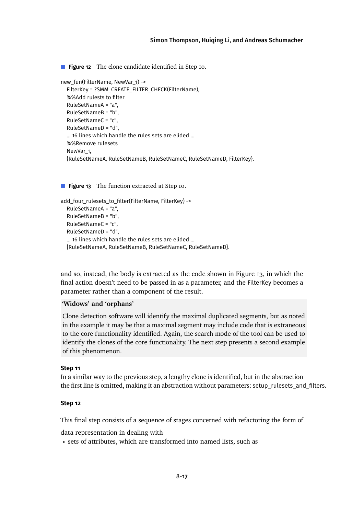#### [Simon Thompson,](#page-33-0) [Huiqing Li,](#page-33-1) and [Andreas Schumacher](#page-33-2)

<span id="page-17-0"></span>**Figure 12** The clone candidate identified in Step 10.

```
new_fun(FilterName, NewVar_1) ->
  FilterKey = ?SMM_CREATE_FILTER_CHECK(FilterName),
  %%Add rulests to filter
  RuleSetNameA = "a",
  RuleSetNameB = "b",
  RuleSetNameC = "c",
  RuleSetNameD = "d",
  ... 16 lines which handle the rules sets are elided ...
  %%Remove rulesets
  NewVar_1,
  {RuleSetNameA, RuleSetNameB, RuleSetNameC, RuleSetNameD, FilterKey}.
```
**Figure 13** The function extracted at Step 10.

```
add_four_rulesets_to_filter(FilterName, FilterKey) ->
  RuleSetNameA = "a",
  RuleSetNameB = "b",
  RuleSetNameC = "c",
  RuleSetNameD = "d",
  ... 16 lines which handle the rules sets are elided ...
  {RuleSetNameA, RuleSetNameB, RuleSetNameC, RuleSetNameD}.
```
and so, instead, the body is extracted as the code shown in Figure [13,](#page-16-1) in which the final action doesn't need to be passed in as a parameter, and the FilterKey becomes a parameter rather than a component of the result.

#### **'Widows' and 'orphans'**

Clone detection software will identify the maximal duplicated segments, but as noted in the example it may be that a maximal segment may include code that is extraneous to the core functionality identified. Again, the search mode of the tool can be used to identify the clones of the core functionality. The next step presents a second example of this phenomenon.

#### **Step 11**

In a similar way to the previous step, a lengthy clone is identified, but in the abstraction the first line is omitted, making it an abstraction without parameters: setup\_rulesets\_and\_filters.

#### <span id="page-17-1"></span>**Step 12**

This final step consists of a sequence of stages concerned with refactoring the form of

data representation in dealing with

sets of attributes, which are transformed into named lists, such as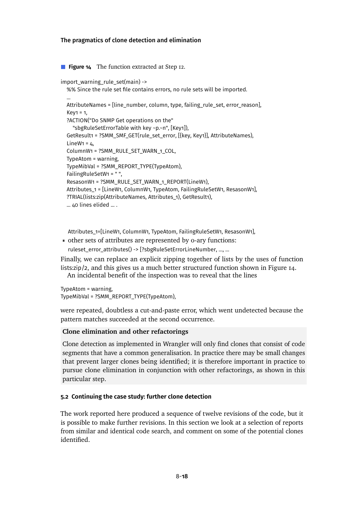<span id="page-18-0"></span>**Figure 14** The function extracted at Step 12.

```
import_warning_rule_set(main) ->
  %% Since the rule set file contains errors, no rule sets will be imported.
  ...
  AttributeNames = [line_number, column, type, failing_rule_set, error_reason],
  Key1 = 1,
  ?ACTION("Do SNMP Get operations on the"
    "sbgRuleSetErrorTable with key ~p.~n", [Key1]),
  GetResult1 = ?SMM_SMF_GET(rule_set_error, [{key, Key1}], AttributeNames),
  LineW<sub>1</sub> = 4ColumnW1 = ?SMM_RULE_SET_WARN_1_COL,
  TypeAtom = warning,
  TypeMibVal = ?SMM_REPORT_TYPE(TypeAtom),
  FailingRuleSetW1 = " ",
  ResasonW1 = ?SMM_RULE_SET_WARN_1_REPORT(LineW1),
  Attributes_1 = [LineW1, ColumnW1, TypeAtom, FailingRuleSetW1, ResasonW1],
  ?TRIAL(lists:zip(AttributeNames, Attributes_1), GetResult1),
  ... 40 lines elided ... .
```
Attributes\_1=[LineW1, ColumnW1, TypeAtom, FailingRuleSetW1, ResasonW1],

other sets of attributes are represented by 0-ary functions: ruleset\_error\_attributes() -> [?sbgRuleSetErrorLineNumber, ..., ...

Finally, we can replace an explicit zipping together of lists by the uses of function lists:zip/2, and this gives us a much better structured function shown in Figure [14.](#page-17-0) An incidental benefit of the inspection was to reveal that the lines

TypeAtom = warning, TypeMibVal = ?SMM\_REPORT\_TYPE(TypeAtom),

were repeated, doubtless a cut-and-paste error, which went undetected because the pattern matches succeeded at the second occurrence.

#### **Clone elimination and other refactorings**

Clone detection as implemented in Wrangler will only find clones that consist of code segments that have a common generalisation. In practice there may be small changes that prevent larger clones being identified; it is therefore important in practice to pursue clone elimination in conjunction with other refactorings, as shown in this particular step.

#### **5.2 Continuing the case study: further clone detection**

The work reported here produced a sequence of twelve revisions of the code, but it is possible to make further revisions. In this section we look at a selection of reports from similar and identical code search, and comment on some of the potential clones identified.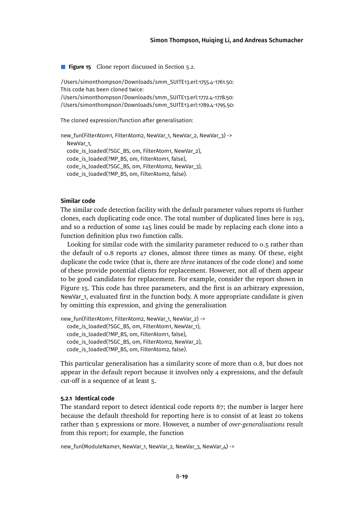**Figure 15** Clone report discussed in Section [5.2.](#page-17-1)

/Users/simonthompson/Downloads/smm\_SUITE13.erl:1755.4-1761.50: This code has been cloned twice: /Users/simonthompson/Downloads/smm\_SUITE13.erl:1772.4-1778.50: /Users/simonthompson/Downloads/smm\_SUITE13.erl:1789.4-1795.50:

The cloned expression/function after generalisation:

new\_fun(FilterAtom1, FilterAtom2, NewVar\_1, NewVar\_2, NewVar\_3) -> NewVar\_1, code\_is\_loaded(?SGC\_BS, om, FilterAtom1, NewVar\_2), code\_is\_loaded(?MP\_BS, om, FilterAtom1, false), code is loaded(?SGC\_BS, om, FilterAtom2, NewVar\_3), code\_is\_loaded(?MP\_BS, om, FilterAtom2, false).

#### <span id="page-19-0"></span>**Similar code**

The similar code detection facility with the default parameter values reports 16 further clones, each duplicating code once. The total number of duplicated lines here is 193, and so a reduction of some 145 lines could be made by replacing each clone into a function definition plus two function calls.

Looking for similar code with the similarity parameter reduced to 0.5 rather than the default of 0.8 reports 47 clones, almost three times as many. Of these, eight duplicate the code twice (that is, there are *three* instances of the code clone) and some of these provide potential clients for replacement. However, not all of them appear to be good candidates for replacement. For example, consider the report shown in Figure [15.](#page-18-0) This code has three parameters, and the first is an arbitrary expression, NewVar\_1, evaluated first in the function body. A more appropriate candidate is given by omitting this expression, and giving the generalisation

```
new_fun(FilterAtom1, FilterAtom2, NewVar_1, NewVar_2) ->
  code_is_loaded(?SGC_BS, om, FilterAtom1, NewVar_1),
  code_is_loaded(?MP_BS, om, FilterAtom1, false),
  code_is_loaded(?SGC_BS, om, FilterAtom2, NewVar_2),
  code_is_loaded(?MP_BS, om, FilterAtom2, false).
```
This particular generalisation has a similarity score of more than 0.8, but does not appear in the default report because it involves only 4 expressions, and the default cut-off is a sequence of at least 5.

#### **5.2.1 Identical code**

The standard report to detect identical code reports 87; the number is larger here because the default threshold for reporting here is to consist of at least 20 tokens rather than 5 expressions or more. However, a number of *over-generalisations* result from this report; for example, the function

new\_fun(ModuleName1, NewVar\_1, NewVar\_2, NewVar\_3, NewVar\_4) ->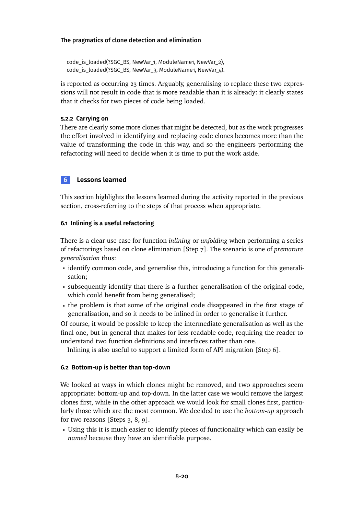```
code_is_loaded(?SGC_BS, NewVar_1, ModuleName1, NewVar_2),
code_is_loaded(?SGC_BS, NewVar_3, ModuleName1, NewVar_4).
```
is reported as occurring 23 times. Arguably, generalising to replace these two expressions will not result in code that is more readable than it is already: it clearly states that it checks for two pieces of code being loaded.

# **5.2.2 Carrying on**

There are clearly some more clones that might be detected, but as the work progresses the effort involved in identifying and replacing code clones becomes more than the value of transforming the code in this way, and so the engineers performing the refactoring will need to decide when it is time to put the work aside.

# **6 Lessons learned**

This section highlights the lessons learned during the activity reported in the previous section, cross-referring to the steps of that process when appropriate.

# **6.1 Inlining is a useful refactoring**

There is a clear use case for function *inlining* or *unfolding* when performing a series of refactorings based on clone elimination [Step 7]. The scenario is one of *premature generalisation* thus:

- identify common code, and generalise this, introducing a function for this generalisation;
- subsequently identify that there is a further generalisation of the original code, which could benefit from being generalised;
- the problem is that some of the original code disappeared in the first stage of generalisation, and so it needs to be inlined in order to generalise it further.

Of course, it would be possible to keep the intermediate generalisation as well as the final one, but in general that makes for less readable code, requiring the reader to understand two function definitions and interfaces rather than one.

Inlining is also useful to support a limited form of API migration [Step 6].

# **6.2 Bottom-up is better than top-down**

We looked at ways in which clones might be removed, and two approaches seem appropriate: bottom-up and top-down. In the latter case we would remove the largest clones first, while in the other approach we would look for small clones first, particularly those which are the most common. We decided to use the *bottom-up* approach for two reasons [Steps 3, 8, 9].

Using this it is much easier to identify pieces of functionality which can easily be *named* because they have an identifiable purpose.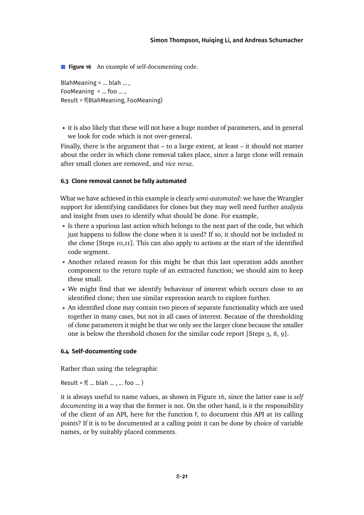**Figure 16** An example of self-documenting code.

BlahMeaning  $=$  ... blah ..., FooMeaning  $=$  ... foo ... , Result = f(BlahMeaning, FooMeaning)

it is also likely that these will not have a huge number of parameters, and in general we look for code which is not over-general.

Finally, there is the argument that  $-$  to a large extent, at least  $-$  it should not matter about the order in which clone removal takes place, since a large clone will remain after small clones are removed, and *vice versa*.

## **6.3 Clone removal cannot be fully automated**

What we have achieved in this example is clearly *semi-automated*: we have the Wrangler support for identifying candidates for clones but they may well need further analysis and insight from uses to identify what should be done. For example,

- Is there a spurious last action which belongs to the next part of the code, but which just happens to follow the clone when it is used? If so, it should not be included in the clone [Steps 10,11]. This can also apply to actions at the start of the identified code segment.
- Another related reason for this might be that this last operation adds another component to the return tuple of an extracted function; we should aim to keep these small.
- We might find that we identify behaviour of interest which occurs close to an identified clone; then use similar expression search to explore further.
- <span id="page-21-0"></span>An identified clone may contain two pieces of separate functionality which are used together in many cases, but not in all cases of interest. Because of the thresholding of clone parameters it might be that we only see the larger clone because the smaller one is below the threshold chosen for the similar code report [Steps 3, 8, 9].

#### **6.4 Self-documenting code**

Rather than using the telegraphic

Result =  $f($  ... blah ..., ... foo ...)

it is always useful to name values, as shown in Figure [16,](#page-20-0) since the latter case is *self documenting* in a way that the former is not. On the other hand, is it the responsibility of the client of an API, here for the function f, to document this API at its calling points? If it is to be documented at a calling point it can be done by choice of variable names, or by suitably placed comments.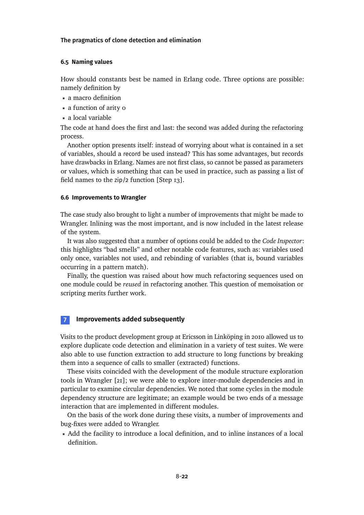#### **6.5 Naming values**

How should constants best be named in Erlang code. Three options are possible: namely definition by

- a macro definition
- a function of arity o
- a local variable

The code at hand does the first and last: the second was added during the refactoring process.

Another option presents itself: instead of worrying about what is contained in a set of variables, should a record be used instead? This has some advantages, but records have drawbacks in Erlang. Names are not first class, so cannot be passed as parameters or values, which is something that can be used in practice, such as passing a list of field names to the zip/2 function [Step 13].

#### **6.6 Improvements to Wrangler**

The case study also brought to light a number of improvements that might be made to Wrangler. Inlining was the most important, and is now included in the latest release of the system.

It was also suggested that a number of options could be added to the *Code Inspector*: this highlights "bad smells" and other notable code features, such as: variables used only once, variables not used, and rebinding of variables (that is, bound variables occurring in a pattern match).

Finally, the question was raised about how much refactoring sequences used on one module could be *reused* in refactoring another. This question of memoisation or scripting merits further work.

#### **7 Improvements added subsequently**

Visits to the product development group at Ericsson in Linköping in 2010 allowed us to explore duplicate code detection and elimination in a variety of test suites. We were also able to use function extraction to add structure to long functions by breaking them into a sequence of calls to smaller (extracted) functions.

These visits coincided with the development of the module structure exploration tools in Wrangler [\[21\]](#page-31-4); we were able to explore inter-module dependencies and in particular to examine circular dependencies. We noted that some cycles in the module dependency structure are legitimate; an example would be two ends of a message interaction that are implemented in different modules.

On the basis of the work done during these visits, a number of improvements and bug-fixes were added to Wrangler.

Add the facility to introduce a local definition, and to inline instances of a local definition.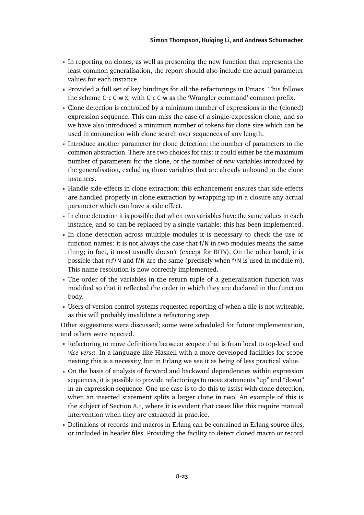- In reporting on clones, as well as presenting the new function that represents the least common generalisation, the report should also include the actual parameter values for each instance.
- Provided a full set of key bindings for all the refactorings in Emacs. This follows the scheme C-c C-w X, with C-c C-w as the 'Wrangler command' common prefix.
- Clone detection is controlled by a minimum number of expressions in the (cloned) expression sequence. This can miss the case of a single-expression clone, and so we have also introduced a minimum number of tokens for clone size which can be used in conjunction with clone search over sequences of any length.
- Introduce another parameter for clone detection: the number of parameters to the common abstraction. There are two choices for this: it could either be the maximum number of parameters for the clone, or the number of *new* variables introduced by the generalisation, excluding those variables that are already unbound in the clone instances.
- Handle side-effects in clone extraction: this enhancement ensures that side effects are handled properly in clone extraction by wrapping up in a closure any actual parameter which can have a side effect.
- In clone detection it is possible that when two variables have the same values in each instance, and so can be replaced by a single variable: this has been implemented.
- <span id="page-23-0"></span>In clone detection across multiple modules it is necessary to check the use of function names: it is not always the case that  $f/N$  in two modules means the same thing; in fact, it most usually doesn't (except for BIFs). On the other hand, it is possible that m:f/N and f/N are the same (precisely when f/N is used in module m). This name resolution is now correctly implemented.
- The order of the variables in the return tuple of a generalisation function was modified so that it reflected the order in which they are declared in the function body.
- Users of version control systems requested reporting of when a file is not writeable, as this will probably invalidate a refactoring step.

Other suggestions were discussed; some were scheduled for future implementation, and others were rejected.

- <span id="page-23-1"></span>Refactoring to move definitions between scopes: that is from local to top-level and *vice versa*. In a language like Haskell with a more developed facilities for scope nesting this is a necessity, but in Erlang we see it as being of less practical value.
- On the basis of analysis of forward and backward dependencies within expression sequences, it is possible to provide refactorings to move statements "up" and "down" in an expression sequence. One use case is to do this to assist with clone detection, when an inserted statement splits a larger clone in two. An example of this is the subject of Section [8.1,](#page-23-1) where it is evident that cases like this require manual intervention when they are extracted in practice.
- Definitions of records and macros in Erlang can be contained in Erlang source files, or included in header files. Providing the facility to detect cloned macro or record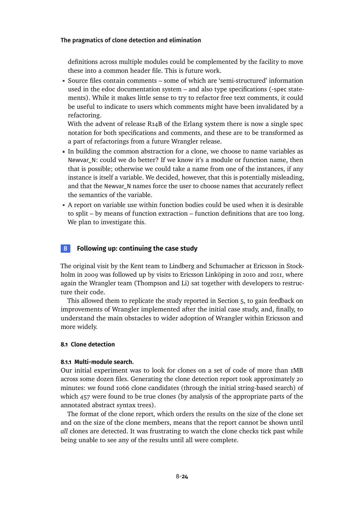definitions across multiple modules could be complemented by the facility to move these into a common header file. This is future work.

Source files contain comments – some of which are 'semi-structured' information used in the edoc documentation system – and also type specifications (-spec statements). While it makes little sense to try to refactor free text comments, it could be useful to indicate to users which comments might have been invalidated by a refactoring.

With the advent of release R14B of the Erlang system there is now a single spec notation for both specifications and comments, and these are to be transformed as a part of refactorings from a future Wrangler release.

- In building the common abstraction for a clone, we choose to name variables as Newvar\_N: could we do better? If we know it's a module or function name, then that is possible; otherwise we could take a name from one of the instances, if any instance is itself a variable. We decided, however, that this is potentially misleading, and that the Newvar\_N names force the user to choose names that accurately reflect the semantics of the variable.
- A report on variable use within function bodies could be used when it is desirable to split – by means of function extraction – function definitions that are too long. We plan to investigate this.

## **8 Following up: continuing the case study**

The original visit by the Kent team to Lindberg and Schumacher at Ericsson in Stockholm in 2009 was followed up by visits to Ericsson Linköping in 2010 and 2011, where again the Wrangler team (Thompson and Li) sat together with developers to restructure their code.

This allowed them to replicate the study reported in Section [5,](#page-9-0) to gain feedback on improvements of Wrangler implemented after the initial case study, and, finally, to understand the main obstacles to wider adoption of Wrangler within Ericsson and more widely.

#### **8.1 Clone detection**

#### **8.1.1 Multi-module search.**

Our initial experiment was to look for clones on a set of code of more than 1MB across some dozen files. Generating the clone detection report took approximately 20 minutes: we found 1066 clone candidates (through the initial string-based search) of which 457 were found to be true clones (by analysis of the appropriate parts of the annotated abstract syntax trees).

The format of the clone report, which orders the results on the size of the clone set and on the size of the clone members, means that the report cannot be shown until *all* clones are detected. It was frustrating to watch the clone checks tick past while being unable to see any of the results until all were complete.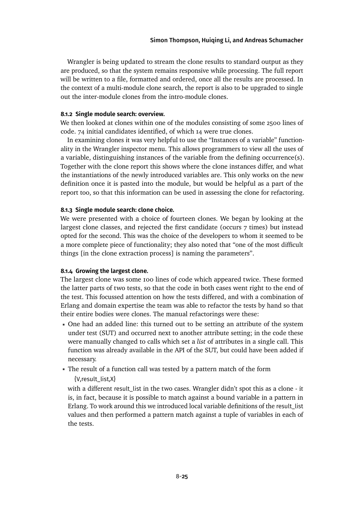<span id="page-25-0"></span>Wrangler is being updated to stream the clone results to standard output as they are produced, so that the system remains responsive while processing. The full report will be written to a file, formatted and ordered, once all the results are processed. In the context of a multi-module clone search, the report is also to be upgraded to single out the inter-module clones from the intro-module clones.

#### **8.1.2 Single module search: overview.**

We then looked at clones within one of the modules consisting of some 2500 lines of code. 74 initial candidates identified, of which 14 were true clones.

In examining clones it was very helpful to use the "Instances of a variable" functionality in the Wrangler inspector menu. This allows programmers to view all the uses of a variable, distinguishing instances of the variable from the defining occurrence(s). Together with the clone report this shows where the clone instances differ, and what the instantiations of the newly introduced variables are. This only works on the new definition once it is pasted into the module, but would be helpful as a part of the report too, so that this information can be used in assessing the clone for refactoring.

#### **8.1.3 Single module search: clone choice.**

We were presented with a choice of fourteen clones. We began by looking at the largest clone classes, and rejected the first candidate (occurs 7 times) but instead opted for the second. This was the choice of the developers to whom it seemed to be a more complete piece of functionality; they also noted that "one of the most difficult things [in the clone extraction process] is naming the parameters".

#### **8.1.4 Growing the largest clone.**

The largest clone was some 100 lines of code which appeared twice. These formed the latter parts of two tests, so that the code in both cases went right to the end of the test. This focussed attention on how the tests differed, and with a combination of Erlang and domain expertise the team was able to refactor the tests by hand so that their entire bodies were clones. The manual refactorings were these:

- One had an added line: this turned out to be setting an attribute of the system under test (SUT) and occurred next to another attribute setting; in the code these were manually changed to calls which set a *list* of attributes in a single call. This function was already available in the API of the SUT, but could have been added if necessary.
- The result of a function call was tested by a pattern match of the form

{V,result\_list,X}

with a different result\_list in the two cases. Wrangler didn't spot this as a clone - it is, in fact, because it is possible to match against a bound variable in a pattern in Erlang. To work around this we introduced local variable definitions of the result\_list values and then performed a pattern match against a tuple of variables in each of the tests.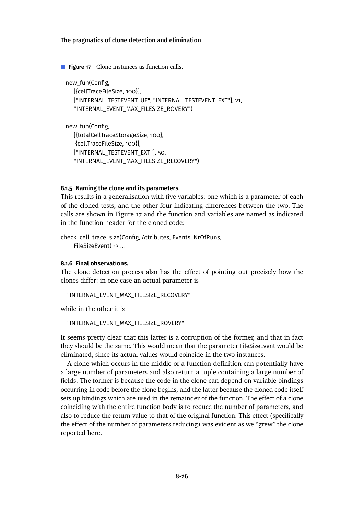**Figure 17** Clone instances as function calls.

new\_fun(Config, [{cellTraceFileSize, 100}], ["INTERNAL\_TESTEVENT\_UE", "INTERNAL\_TESTEVENT\_EXT"], 21, "INTERNAL\_EVENT\_MAX\_FILESIZE\_ROVERY")

new\_fun(Config, [{totalCellTraceStorageSize, 100}, {cellTraceFileSize, 100}], ["INTERNAL\_TESTEVENT\_EXT"], 50, "INTERNAL\_EVENT\_MAX\_FILESIZE\_RECOVERY")

#### **8.1.5 Naming the clone and its parameters.**

This results in a generalisation with five variables: one which is a parameter of each of the cloned tests, and the other four indicating differences between the two. The calls are shown in Figure [17](#page-25-0) and the function and variables are named as indicated in the function header for the cloned code:

check\_cell\_trace\_size(Config, Attributes, Events, NrOfRuns, FileSizeEvent) -> ...

#### **8.1.6 Final observations.**

The clone detection process also has the effect of pointing out precisely how the clones differ: in one case an actual parameter is

"INTERNAL\_EVENT\_MAX\_FILESIZE\_RECOVERY"

while in the other it is

```
"INTERNAL_EVENT_MAX_FILESIZE_ROVERY"
```
It seems pretty clear that this latter is a corruption of the former, and that in fact they should be the same. This would mean that the parameter FileSizeEvent would be eliminated, since its actual values would coincide in the two instances.

A clone which occurs in the middle of a function definition can potentially have a large number of parameters and also return a tuple containing a large number of fields. The former is because the code in the clone can depend on variable bindings occurring in code before the clone begins, and the latter because the cloned code itself sets up bindings which are used in the remainder of the function. The effect of a clone coinciding with the entire function body is to reduce the number of parameters, and also to reduce the return value to that of the original function. This effect (specifically the effect of the number of parameters reducing) was evident as we "grew" the clone reported here.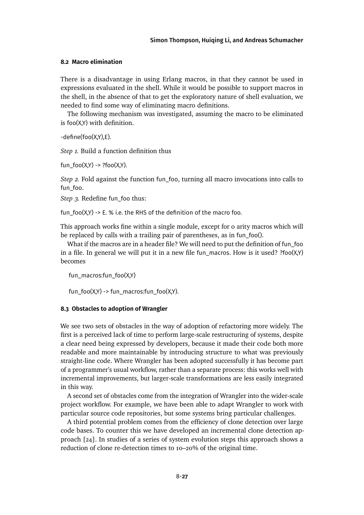#### <span id="page-27-0"></span>**8.2 Macro elimination**

There is a disadvantage in using Erlang macros, in that they cannot be used in expressions evaluated in the shell. While it would be possible to support macros in the shell, in the absence of that to get the exploratory nature of shell evaluation, we needed to find some way of eliminating macro definitions.

The following mechanism was investigated, assuming the macro to be eliminated is foo(X,Y) with definition.

-define(foo(X,Y),E).

*Step 1.* Build a function definition thus

fun\_foo(X,Y) -> ?foo(X,Y).

*Step 2.* Fold against the function fun\_foo, turning all macro invocations into calls to fun\_foo.

*Step 3.* Redefine fun\_foo thus:

fun  $foo(X,Y) \rightarrow E.$  % i.e. the RHS of the definition of the macro foo.

This approach works fine within a single module, except for 0 arity macros which will be replaced by calls with a trailing pair of parentheses, as in fun\_foo().

What if the macros are in a header file? We will need to put the definition of fun\_foo in a file. In general we will put it in a new file fun\_macros. How is it used?  $?foo(X,Y)$ becomes

fun\_macros:fun\_foo(X,Y)

fun\_foo(X,Y) -> fun\_macros:fun\_foo(X,Y).

#### **8.3 Obstacles to adoption of Wrangler**

We see two sets of obstacles in the way of adoption of refactoring more widely. The first is a perceived lack of time to perform large-scale restructuring of systems, despite a clear need being expressed by developers, because it made their code both more readable and more maintainable by introducing structure to what was previously straight-line code. Where Wrangler has been adopted successfully it has become part of a programmer's usual workflow, rather than a separate process: this works well with incremental improvements, but larger-scale transformations are less easily integrated in this way.

A second set of obstacles come from the integration of Wrangler into the wider-scale project workflow. For example, we have been able to adapt Wrangler to work with particular source code repositories, but some systems bring particular challenges.

A third potential problem comes from the efficiency of clone detection over large code bases. To counter this we have developed an incremental clone detection approach [\[24\]](#page-31-6). In studies of a series of system evolution steps this approach shows a reduction of clone re-detection times to 10–20% of the original time.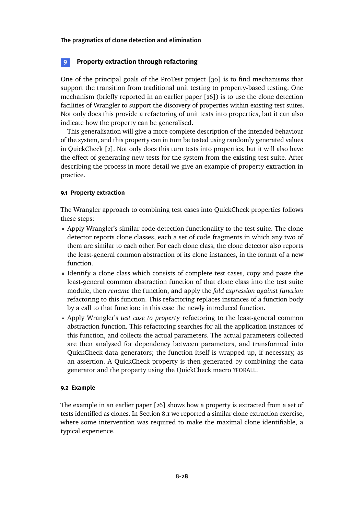## <span id="page-28-1"></span>**9 Property extraction through refactoring**

One of the principal goals of the ProTest project [\[30\]](#page-31-11) is to find mechanisms that support the transition from traditional unit testing to property-based testing. One mechanism (briefly reported in an earlier paper [\[26\]](#page-31-12)) is to use the clone detection facilities of Wrangler to support the discovery of properties within existing test suites. Not only does this provide a refactoring of unit tests into properties, but it can also indicate how the property can be generalised.

<span id="page-28-0"></span>This generalisation will give a more complete description of the intended behaviour of the system, and this property can in turn be tested using randomly generated values in QuickCheck [\[2\]](#page-29-2). Not only does this turn tests into properties, but it will also have the effect of generating new tests for the system from the existing test suite. After describing the process in more detail we give an example of property extraction in practice.

#### **9.1 Property extraction**

The Wrangler approach to combining test cases into QuickCheck properties follows these steps:

- <span id="page-28-2"></span>Apply Wrangler's similar code detection functionality to the test suite. The clone detector reports clone classes, each a set of code fragments in which any two of them are similar to each other. For each clone class, the clone detector also reports the least-general common abstraction of its clone instances, in the format of a new function.
- Identify a clone class which consists of complete test cases, copy and paste the least-general common abstraction function of that clone class into the test suite module, then *rename* the function, and apply the *fold expression against function* refactoring to this function. This refactoring replaces instances of a function body by a call to that function: in this case the newly introduced function.
- Apply Wrangler's *test case to property* refactoring to the least-general common abstraction function. This refactoring searches for all the application instances of this function, and collects the actual parameters. The actual parameters collected are then analysed for dependency between parameters, and transformed into QuickCheck data generators; the function itself is wrapped up, if necessary, as an assertion. A QuickCheck property is then generated by combining the data generator and the property using the QuickCheck macro ?FORALL.

#### **9.2 Example**

The example in an earlier paper [\[26\]](#page-31-12) shows how a property is extracted from a set of tests identified as clones. In Section [8.1](#page-23-1) we reported a similar clone extraction exercise, where some intervention was required to make the maximal clone identifiable, a typical experience.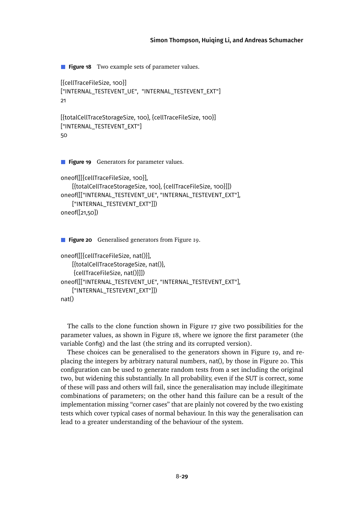<span id="page-29-0"></span>**Figure 18** Two example sets of parameter values.

```
[{cellTraceFileSize, 100}]
["INTERNAL_TESTEVENT_UE", "INTERNAL_TESTEVENT_EXT"]
21
```

```
[{totalCellTraceStorageSize, 100}, {cellTraceFileSize, 100}]
["INTERNAL_TESTEVENT_EXT"]
50
```
**Figure 19** Generators for parameter values.

```
oneof([[{cellTraceFileSize, 100}],
    [{totalCellTraceStorageSize, 100}, {cellTraceFileSize, 100}]])
oneof([["INTERNAL_TESTEVENT_UE", "INTERNAL_TESTEVENT_EXT"],
    ["INTERNAL_TESTEVENT_EXT"]])
oneof([21,50])
```
**Figure 20** Generalised generators from Figure [19.](#page-28-0)

```
oneof([[{cellTraceFileSize, nat()}],
    [{totalCellTraceStorageSize, nat()},
    {cellTraceFileSize, nat()}]])
oneof([["INTERNAL_TESTEVENT_UE", "INTERNAL_TESTEVENT_EXT"],
    ["INTERNAL_TESTEVENT_EXT"]])
nat()
```
The calls to the clone function shown in Figure [17](#page-25-0) give two possibilities for the parameter values, as shown in Figure [18,](#page-28-1) where we ignore the first parameter (the variable Config) and the last (the string and its corrupted version).

<span id="page-29-2"></span><span id="page-29-1"></span>These choices can be generalised to the generators shown in Figure [19,](#page-28-0) and replacing the integers by arbitrary natural numbers, nat(), by those in Figure [20.](#page-28-2) This configuration can be used to generate random tests from a set including the original two, but widening this substantially. In all probability, even if the SUT is correct, some of these will pass and others will fail, since the generalisation may include illegitimate combinations of parameters; on the other hand this failure can be a result of the implementation missing "corner cases" that are plainly not covered by the two existing tests which cover typical cases of normal behaviour. In this way the generalisation can lead to a greater understanding of the behaviour of the system.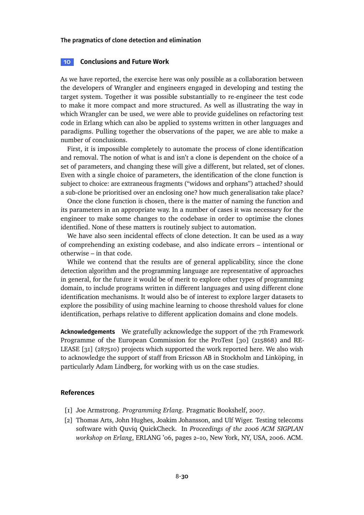#### <span id="page-30-10"></span>**10 Conclusions and Future Work**

<span id="page-30-7"></span>As we have reported, the exercise here was only possible as a collaboration between the developers of Wrangler and engineers engaged in developing and testing the target system. Together it was possible substantially to re-engineer the test code to make it more compact and more structured. As well as illustrating the way in which Wrangler can be used, we were able to provide guidelines on refactoring test code in Erlang which can also be applied to systems written in other languages and paradigms. Pulling together the observations of the paper, we are able to make a number of conclusions.

<span id="page-30-15"></span><span id="page-30-4"></span><span id="page-30-1"></span>First, it is impossible completely to automate the process of clone identification and removal. The notion of what is and isn't a clone is dependent on the choice of a set of parameters, and changing these will give a different, but related, set of clones. Even with a single choice of parameters, the identification of the clone function is subject to choice: are extraneous fragments ("widows and orphans") attached? should a sub-clone be prioritised over an enclosing one? how much generalisation take place?

<span id="page-30-13"></span><span id="page-30-3"></span><span id="page-30-0"></span>Once the clone function is chosen, there is the matter of naming the function and its parameters in an appropriate way. In a number of cases it was necessary for the engineer to make some changes to the codebase in order to optimise the clones identified. None of these matters is routinely subject to automation.

<span id="page-30-14"></span>We have also seen incidental effects of clone detection. It can be used as a way of comprehending an existing codebase, and also indicate errors – intentional or otherwise – in that code.

<span id="page-30-11"></span><span id="page-30-9"></span>While we contend that the results are of general applicability, since the clone detection algorithm and the programming language are representative of approaches in general, for the future it would be of merit to explore other types of programming domain, to include programs written in different languages and using different clone identification mechanisms. It would also be of interest to explore larger datasets to explore the possibility of using machine learning to choose threshold values for clone identification, perhaps relative to different application domains and clone models.

<span id="page-30-8"></span>**Acknowledgements** We gratefully acknowledge the support of the 7th Framework Programme of the European Commission for the ProTest [\[30\]](#page-31-11) (215868) and RE-LEASE [\[31\]](#page-31-13) (287510) projects which supported the work reported here. We also wish to acknowledge the support of staff from Ericsson AB in Stockholm and Linköping, in particularly Adam Lindberg, for working with us on the case studies.

#### <span id="page-30-6"></span><span id="page-30-2"></span>**References**

- [1] Joe Armstrong. *Programming Erlang*. Pragmatic Bookshelf, 2007.
- <span id="page-30-12"></span><span id="page-30-5"></span>[2] Thomas Arts, John Hughes, Joakim Johansson, and Ulf Wiger. Testing telecoms software with Quviq QuickCheck. In *Proceedings of the 2006 ACM SIGPLAN workshop on Erlang*, ERLANG '06, pages 2–10, New York, NY, USA, 2006. ACM.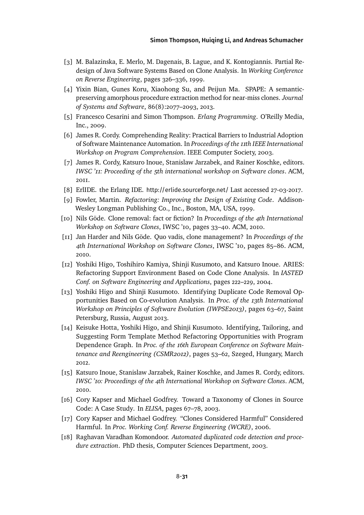- <span id="page-31-3"></span>[3] M. Balazinska, E. Merlo, M. Dagenais, B. Lague, and K. Kontogiannis. Partial Redesign of Java Software Systems Based on Clone Analysis. In *Working Conference on Reverse Engineering*, pages 326–336, 1999.
- <span id="page-31-5"></span>[4] Yixin Bian, Gunes Koru, Xiaohong Su, and Peijun Ma. SPAPE: A semanticpreserving amorphous procedure extraction method for near-miss clones. *Journal of Systems and Software*, 86(8):2077–2093, 2013.
- <span id="page-31-4"></span>[5] Francesco Cesarini and Simon Thompson. *Erlang Programming*. O'Reilly Media, Inc., 2009.
- [6] James R. Cordy. Comprehending Reality: Practical Barriers to Industrial Adoption of Software Maintenance Automation. In *Proceedings of the 11th IEEE International Workshop on Program Comprehension*. IEEE Computer Society, 2003.
- <span id="page-31-10"></span>[7] James R. Cordy, Katsuro Inoue, Stanislaw Jarzabek, and Rainer Koschke, editors. *IWSC '11: Proceeding of the 5th international workshop on Software clones*. ACM, 2011.
- <span id="page-31-7"></span>[8] ErlIDE. the Erlang IDE. <http://erlide.sourceforge.net/> Last accessed 27-03-2017.
- <span id="page-31-6"></span>[9] Fowler, Martin. *Refactoring: Improving the Design of Existing Code*. Addison-Wesley Longman Publishing Co., Inc., Boston, MA, USA, 1999.
- [10] Nils Göde. Clone removal: fact or fiction? In *Proceedings of the 4th International Workshop on Software Clones*, IWSC '10, pages 33–40. ACM, 2010.
- <span id="page-31-8"></span>[11] Jan Harder and Nils Göde. Quo vadis, clone management? In *Proceedings of the 4th International Workshop on Software Clones*, IWSC '10, pages 85–86. ACM, 2010.
- <span id="page-31-12"></span>[12] Yoshiki Higo, Toshihiro Kamiya, Shinji Kusumoto, and Katsuro Inoue. ARIES: Refactoring Support Environment Based on Code Clone Analysis. In *IASTED Conf. on Software Engineering and Applications*, pages 222–229, 2004.
- <span id="page-31-2"></span>[13] Yoshiki Higo and Shinji Kusumoto. Identifying Duplicate Code Removal Opportunities Based on Co-evolution Analysis. In *Proc. of the 13th International Workshop on Principles of Software Evolution (IWPSE2013)*, pages 63–67, Saint Petersburg, Russia, August 2013.
- <span id="page-31-1"></span>[14] Keisuke Hotta, Yoshiki Higo, and Shinji Kusumoto. Identifying, Tailoring, and Suggesting Form Template Method Refactoring Opportunities with Program Dependence Graph. In *Proc. of the 16th European Conference on Software Maintenance and Reengineering (CSMR2012)*, pages 53–62, Szeged, Hungary, March 2012.
- <span id="page-31-11"></span><span id="page-31-9"></span>[15] Katsuro Inoue, Stanislaw Jarzabek, Rainer Koschke, and James R. Cordy, editors. *IWSC '10: Proceedings of the 4th International Workshop on Software Clones*. ACM, 2010.
- <span id="page-31-13"></span>[16] Cory Kapser and Michael Godfrey. Toward a Taxonomy of Clones in Source Code: A Case Study. In *ELISA*, pages 67–78, 2003.
- <span id="page-31-0"></span>[17] Cory Kapser and Michael Godfrey. "Clones Considered Harmful" Considered Harmful. In *Proc. Working Conf. Reverse Engineering (WCRE)*, 2006.
- [18] Raghavan Varadhan Komondoor. *Automated duplicated code detection and procedure extraction*. PhD thesis, Computer Sciences Department, 2003.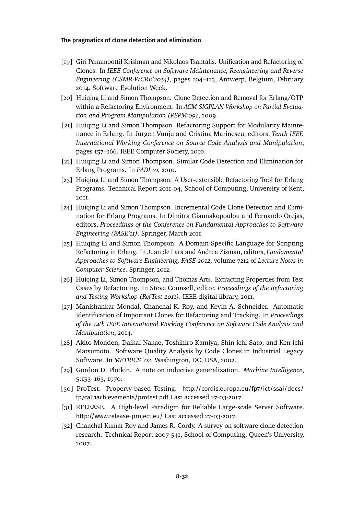- <span id="page-32-3"></span>[19] Giri Panamoottil Krishnan and Nikolaos Tsantalis. Unification and Refactoring of Clones. In *IEEE Conference on Software Maintenance, Reengineering and Reverse Engineering (CSMR-WCRE'2014)*, pages 104–113, Antwerp, Belgium, February 2014. Software Evolution Week.
- <span id="page-32-5"></span><span id="page-32-2"></span>[20] Huiging Li and Simon Thompson. Clone Detection and Removal for Erlang/OTP within a Refactoring Environment. In *ACM SIGPLAN Workshop on Partial Evaluation and Program Manipulation (PEPM'09)*, 2009.
- <span id="page-32-1"></span>[21] Huiqing Li and Simon Thompson. Refactoring Support for Modularity Maintenance in Erlang. In Jurgen Vunju and Cristina Marinescu, editors, *Tenth IEEE International Working Conference on Source Code Analysis and Manipulation*, pages 157–166. IEEE Computer Society, 2010.
- <span id="page-32-0"></span>[22] Huiqing Li and Simon Thompson. Similar Code Detection and Elimination for Erlang Programs. In *PADL10*, 2010.
- <span id="page-32-4"></span>[23] Huiqing Li and Simon Thompson. A User-extensible Refactoring Tool for Erlang Programs. Technical Report 2011-04, School of Computing, University of Kent, 2011.
- [24] Huiqing Li and Simon Thompson. Incremental Code Clone Detection and Elimination for Erlang Programs. In Dimitra Giannakopoulou and Fernando Orejas, editors, *Proceedings of the Conference on Fundamental Approaches to Software Engineering (FASE'11)*. Springer, March 2011.
- [25] Huiqing Li and Simon Thompson. A Domain-Specific Language for Scripting Refactoring in Erlang. In Juan de Lara and Andrea Zisman, editors, *Fundamental Approaches to Software Engineering, FASE 2012*, volume 7212 of *Lecture Notes in Computer Science*. Springer, 2012.
- [26] Huiqing Li, Simon Thompson, and Thomas Arts. Extracting Properties from Test Cases by Refactoring. In Steve Counsell, editor, *Proceedings of the Refactoring and Testing Workshop (RefTest 2011)*. IEEE digital library, 2011.
- [27] Manishankar Mondal, Chanchal K. Roy, and Kevin A. Schneider. Automatic Identification of Important Clones for Refactoring and Tracking. In *Proceedings of the 14th IEEE International Working Conference on Software Code Analysis and Manipulation*, 2014.
- [28] Akito Monden, Daikai Nakae, Toshihiro Kamiya, Shin ichi Sato, and Ken ichi Matsumoto. Software Quality Analysis by Code Clones in Industrial Legacy Software. In *METRICS '02*, Washington, DC, USA, 2002.
- [29] Gordon D. Plotkin. A note on inductive generalization. *Machine Intelligence*, 5:153–163, 1970.
- [30] ProTest. Property-based Testing. [http://cordis.europa.eu/fp7/ict/ssai/docs/](http://cordis.europa.eu/fp7/ict/ssai/docs/fp7call1achievements/protest.pdf) [fp7call1achievements/protest.pdf](http://cordis.europa.eu/fp7/ict/ssai/docs/fp7call1achievements/protest.pdf) Last accessed 27-03-2017.
- [31] RELEASE. A High-level Paradigm for Reliable Large-scale Server Software. <http://www.release-project.eu/> Last accessed 27-03-2017.
- [32] Chanchal Kumar Roy and James R. Cordy. A survey on software clone detection research. Technical Report 2007-541, School of Computing, Queen's University, 2007.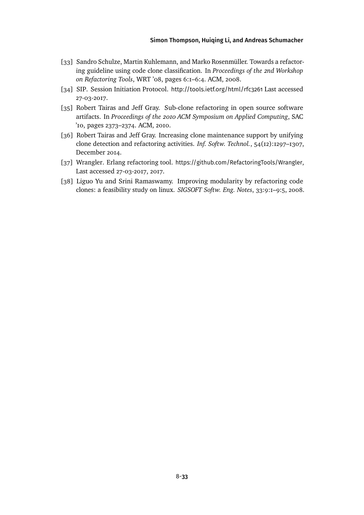- <span id="page-33-3"></span>[33] Sandro Schulze, Martin Kuhlemann, and Marko Rosenmüller. Towards a refactoring guideline using code clone classification. In *Proceedings of the 2nd Workshop on Refactoring Tools*, WRT '08, pages 6:1–6:4. ACM, 2008.
- <span id="page-33-0"></span>[34] SIP. Session Initiation Protocol. <http://tools.ietf.org/html/rfc3261> Last accessed 27-03-2017.
- [35] Robert Tairas and Jeff Gray. Sub-clone refactoring in open source software artifacts. In *Proceedings of the 2010 ACM Symposium on Applied Computing*, SAC '10, pages 2373–2374. ACM, 2010.
- [36] Robert Tairas and Jeff Gray. Increasing clone maintenance support by unifying clone detection and refactoring activities. *Inf. Softw. Technol.*, 54(12):1297–1307, December 2014.
- [37] Wrangler. Erlang refactoring tool. <https://github.com/RefactoringTools/Wrangler>, Last accessed 27-03-2017, 2017.
- <span id="page-33-2"></span><span id="page-33-1"></span>[38] Liguo Yu and Srini Ramaswamy. Improving modularity by refactoring code clones: a feasibility study on linux. *SIGSOFT Softw. Eng. Notes*, 33:9:1–9:5, 2008.